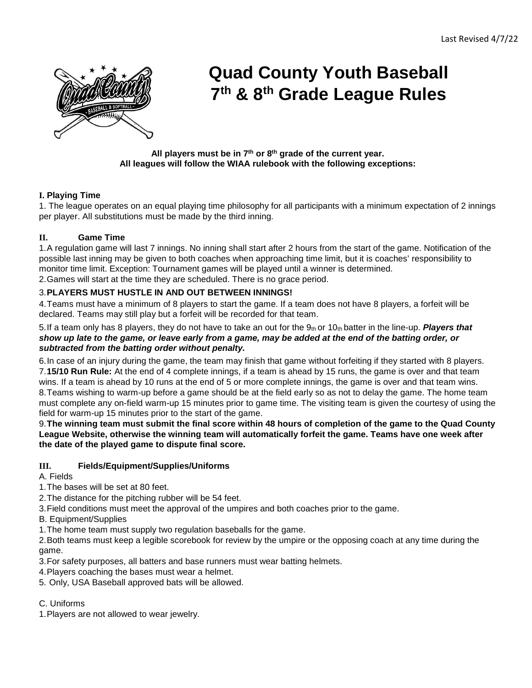

# **Quad County Youth Baseball 7th & 8th Grade League Rules**

**All players must be in 7th or 8th grade of the current year. All leagues will follow the WIAA rulebook with the following exceptions:**

## **I. Playing Time**

1. The league operates on an equal playing time philosophy for all participants with a minimum expectation of 2 innings per player. All substitutions must be made by the third inning.

## **II. Game Time**

1.A regulation game will last 7 innings. No inning shall start after 2 hours from the start of the game. Notification of the possible last inning may be given to both coaches when approaching time limit, but it is coaches' responsibility to monitor time limit. Exception: Tournament games will be played until a winner is determined.

2.Games will start at the time they are scheduled. There is no grace period.

## 3.**PLAYERS MUST HUSTLE IN AND OUT BETWEEN INNINGS!**

4.Teams must have a minimum of 8 players to start the game. If a team does not have 8 players, a forfeit will be declared. Teams may still play but a forfeit will be recorded for that team.

5. If a team only has 8 players, they do not have to take an out for the 9t<sub>h</sub> or 10t<sub>h</sub> batter in the line-up. **Players that** *show up late to the game, or leave early from a game, may be added at the end of the batting order, or subtracted from the batting order without penalty.* 

6.In case of an injury during the game, the team may finish that game without forfeiting if they started with 8 players. 7.**15/10 Run Rule:** At the end of 4 complete innings, if a team is ahead by 15 runs, the game is over and that team wins. If a team is ahead by 10 runs at the end of 5 or more complete innings, the game is over and that team wins. 8.Teams wishing to warm-up before a game should be at the field early so as not to delay the game. The home team must complete any on-field warm-up 15 minutes prior to game time. The visiting team is given the courtesy of using the field for warm-up 15 minutes prior to the start of the game.

9.**The winning team must submit the final score within 48 hours of completion of the game to the Quad County League Website, otherwise the winning team will automatically forfeit the game. Teams have one week after the date of the played game to dispute final score.** 

## **III. Fields/Equipment/Supplies/Uniforms**

A. Fields

- 1.The bases will be set at 80 feet.
- 2.The distance for the pitching rubber will be 54 feet.
- 3.Field conditions must meet the approval of the umpires and both coaches prior to the game.
- B. Equipment/Supplies
- 1.The home team must supply two regulation baseballs for the game.

2.Both teams must keep a legible scorebook for review by the umpire or the opposing coach at any time during the game.

3.For safety purposes, all batters and base runners must wear batting helmets.

4.Players coaching the bases must wear a helmet.

5. Only, USA Baseball approved bats will be allowed.

## C. Uniforms

1.Players are not allowed to wear jewelry.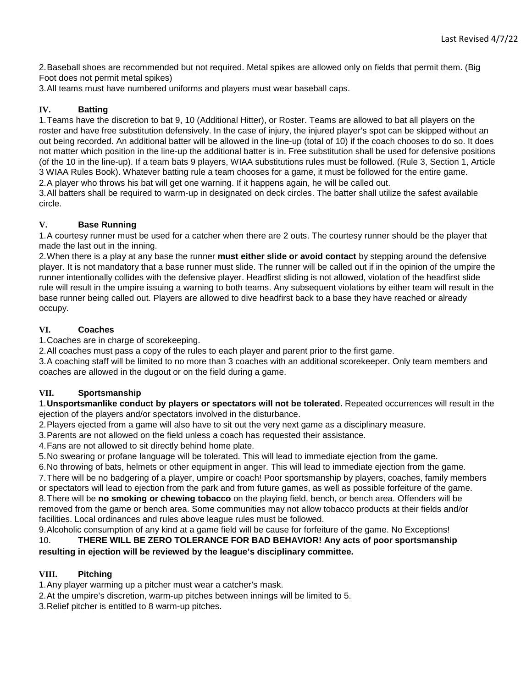2.Baseball shoes are recommended but not required. Metal spikes are allowed only on fields that permit them. (Big Foot does not permit metal spikes)

3.All teams must have numbered uniforms and players must wear baseball caps.

## **IV. Batting**

1.Teams have the discretion to bat 9, 10 (Additional Hitter), or Roster. Teams are allowed to bat all players on the roster and have free substitution defensively. In the case of injury, the injured player's spot can be skipped without an out being recorded. An additional batter will be allowed in the line-up (total of 10) if the coach chooses to do so. It does not matter which position in the line-up the additional batter is in. Free substitution shall be used for defensive positions (of the 10 in the line-up). If a team bats 9 players, WIAA substitutions rules must be followed. (Rule 3, Section 1, Article 3 WIAA Rules Book). Whatever batting rule a team chooses for a game, it must be followed for the entire game. 2.A player who throws his bat will get one warning. If it happens again, he will be called out.

3.All batters shall be required to warm-up in designated on deck circles. The batter shall utilize the safest available circle.

## **V. Base Running**

1.A courtesy runner must be used for a catcher when there are 2 outs. The courtesy runner should be the player that made the last out in the inning.

2.When there is a play at any base the runner **must either slide or avoid contact** by stepping around the defensive player. It is not mandatory that a base runner must slide. The runner will be called out if in the opinion of the umpire the runner intentionally collides with the defensive player. Headfirst sliding is not allowed, violation of the headfirst slide rule will result in the umpire issuing a warning to both teams. Any subsequent violations by either team will result in the base runner being called out. Players are allowed to dive headfirst back to a base they have reached or already occupy.

## **VI. Coaches**

1.Coaches are in charge of scorekeeping.

2.All coaches must pass a copy of the rules to each player and parent prior to the first game.

3.A coaching staff will be limited to no more than 3 coaches with an additional scorekeeper. Only team members and coaches are allowed in the dugout or on the field during a game.

## **VII. Sportsmanship**

1.**Unsportsmanlike conduct by players or spectators will not be tolerated.** Repeated occurrences will result in the ejection of the players and/or spectators involved in the disturbance.

2.Players ejected from a game will also have to sit out the very next game as a disciplinary measure.

3.Parents are not allowed on the field unless a coach has requested their assistance.

4.Fans are not allowed to sit directly behind home plate.

5.No swearing or profane language will be tolerated. This will lead to immediate ejection from the game.

6.No throwing of bats, helmets or other equipment in anger. This will lead to immediate ejection from the game.

7.There will be no badgering of a player, umpire or coach! Poor sportsmanship by players, coaches, family members or spectators will lead to ejection from the park and from future games, as well as possible forfeiture of the game.

8.There will be **no smoking or chewing tobacco** on the playing field, bench, or bench area. Offenders will be removed from the game or bench area. Some communities may not allow tobacco products at their fields and/or facilities. Local ordinances and rules above league rules must be followed.

9.Alcoholic consumption of any kind at a game field will be cause for forfeiture of the game. No Exceptions! 10. **THERE WILL BE ZERO TOLERANCE FOR BAD BEHAVIOR! Any acts of poor sportsmanship resulting in ejection will be reviewed by the league's disciplinary committee.** 

## **VIII. Pitching**

1.Any player warming up a pitcher must wear a catcher's mask.

2.At the umpire's discretion, warm-up pitches between innings will be limited to 5.

3.Relief pitcher is entitled to 8 warm-up pitches.